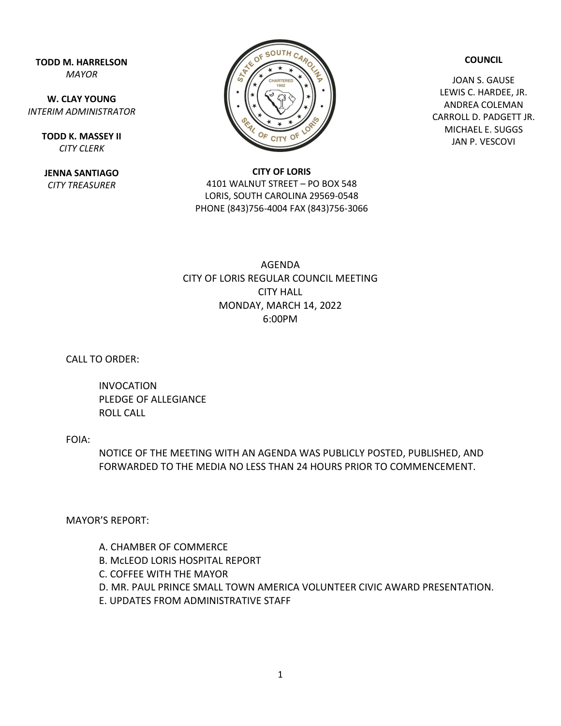**TODD M. HARRELSON** *MAYOR*

**W. CLAY YOUNG** *INTERIM ADMINISTRATOR*

> **TODD K. MASSEY II** *CITY CLERK*

**JENNA SANTIAGO** *CITY TREASURER*



**CITY OF LORIS** 4101 WALNUT STREET – PO BOX 548 LORIS, SOUTH CAROLINA 29569-0548 PHONE (843)756-4004 FAX (843)756-3066

## **COUNCIL**

JOAN S. GAUSE LEWIS C. HARDEE, JR. ANDREA COLEMAN CARROLL D. PADGETT JR. MICHAEL E. SUGGS JAN P. VESCOVI

## AGENDA CITY OF LORIS REGULAR COUNCIL MEETING CITY HALL MONDAY, MARCH 14, 2022 6:00PM

CALL TO ORDER:

INVOCATION PLEDGE OF ALLEGIANCE ROLL CALL

FOIA:

NOTICE OF THE MEETING WITH AN AGENDA WAS PUBLICLY POSTED, PUBLISHED, AND FORWARDED TO THE MEDIA NO LESS THAN 24 HOURS PRIOR TO COMMENCEMENT.

MAYOR'S REPORT:

A. CHAMBER OF COMMERCE B. McLEOD LORIS HOSPITAL REPORT C. COFFEE WITH THE MAYOR D. MR. PAUL PRINCE SMALL TOWN AMERICA VOLUNTEER CIVIC AWARD PRESENTATION. E. UPDATES FROM ADMINISTRATIVE STAFF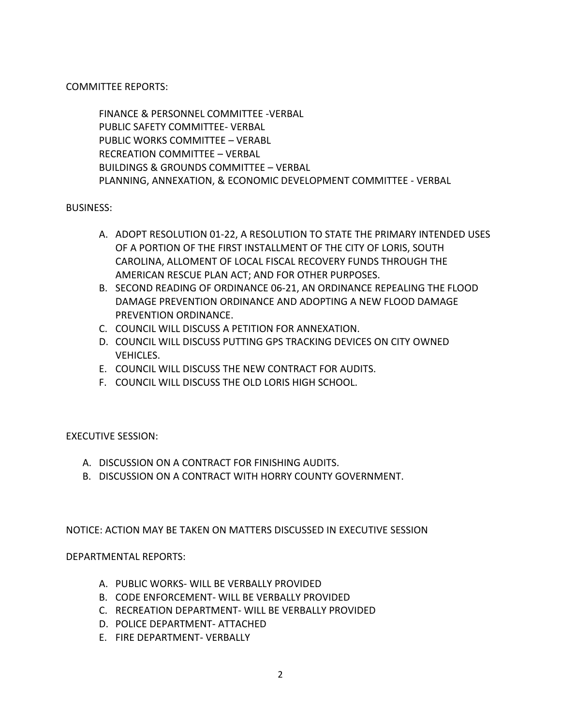COMMITTEE REPORTS:

FINANCE & PERSONNEL COMMITTEE -VERBAL PUBLIC SAFETY COMMITTEE- VERBAL PUBLIC WORKS COMMITTEE – VERABL RECREATION COMMITTEE – VERBAL BUILDINGS & GROUNDS COMMITTEE – VERBAL PLANNING, ANNEXATION, & ECONOMIC DEVELOPMENT COMMITTEE - VERBAL

BUSINESS:

- A. ADOPT RESOLUTION 01-22, A RESOLUTION TO STATE THE PRIMARY INTENDED USES OF A PORTION OF THE FIRST INSTALLMENT OF THE CITY OF LORIS, SOUTH CAROLINA, ALLOMENT OF LOCAL FISCAL RECOVERY FUNDS THROUGH THE AMERICAN RESCUE PLAN ACT; AND FOR OTHER PURPOSES.
- B. SECOND READING OF ORDINANCE 06-21, AN ORDINANCE REPEALING THE FLOOD DAMAGE PREVENTION ORDINANCE AND ADOPTING A NEW FLOOD DAMAGE PREVENTION ORDINANCE.
- C. COUNCIL WILL DISCUSS A PETITION FOR ANNEXATION.
- D. COUNCIL WILL DISCUSS PUTTING GPS TRACKING DEVICES ON CITY OWNED VEHICLES.
- E. COUNCIL WILL DISCUSS THE NEW CONTRACT FOR AUDITS.
- F. COUNCIL WILL DISCUSS THE OLD LORIS HIGH SCHOOL.

EXECUTIVE SESSION:

- A. DISCUSSION ON A CONTRACT FOR FINISHING AUDITS.
- B. DISCUSSION ON A CONTRACT WITH HORRY COUNTY GOVERNMENT.

NOTICE: ACTION MAY BE TAKEN ON MATTERS DISCUSSED IN EXECUTIVE SESSION

DEPARTMENTAL REPORTS:

- A. PUBLIC WORKS- WILL BE VERBALLY PROVIDED
- B. CODE ENFORCEMENT- WILL BE VERBALLY PROVIDED
- C. RECREATION DEPARTMENT- WILL BE VERBALLY PROVIDED
- D. POLICE DEPARTMENT- ATTACHED
- E. FIRE DEPARTMENT- VERBALLY